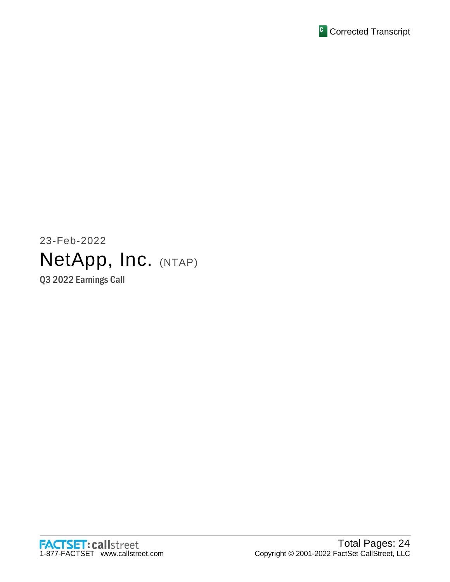

# 23-Feb-2022 NetApp, Inc. (NTAP) Q3 2022 Earnings Call

FACTSET: callstreet<br>1-877-FACTSET www.callstreet.com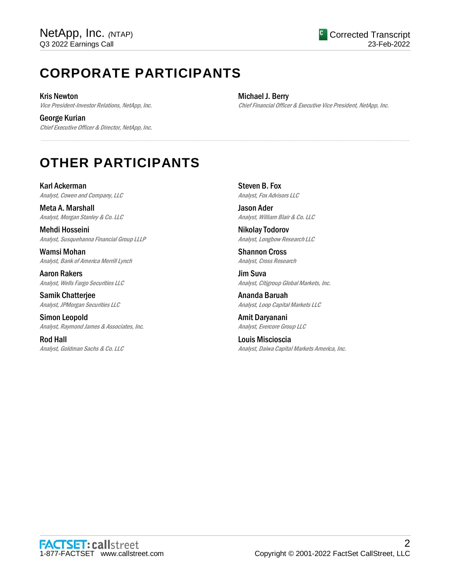# **CORPORATE PARTICIPANTS**

Kris Newton Vice President-Investor Relations, NetApp, Inc.

George Kurian Chief Executive Officer & Director, NetApp, Inc. Michael J. Berry Chief Financial Officer & Executive Vice President, NetApp, Inc.

# **OTHER PARTICIPANTS**

Karl Ackerman Analyst, Cowen and Company, LLC

Meta A. Marshall Analyst, Morgan Stanley & Co. LLC

Mehdi Hosseini Analyst, Susquehanna Financial Group LLLP

Wamsi Mohan Analyst, Bank of America Merrill Lynch

Aaron Rakers Analyst, Wells Fargo Securities LLC

Samik Chatterjee Analyst, JPMorgan Securities LLC

Simon Leopold Analyst, Raymond James & Associates, Inc.

Rod Hall Analyst, Goldman Sachs & Co. LLC Steven B. Fox Analyst, Fox Advisors LLC

.....................................................................................................................................................................................................................................................................

Jason Ader Analyst, William Blair & Co. LLC

Nikolay Todorov Analyst, Longbow Research LLC

Shannon Cross Analyst, Cross Research

Jim Suva Analyst, Citigroup Global Markets, Inc.

Ananda Baruah Analyst, Loop Capital Markets LLC

Amit Daryanani Analyst, Evercore Group LLC

Louis Miscioscia Analyst, Daiwa Capital Markets America, Inc.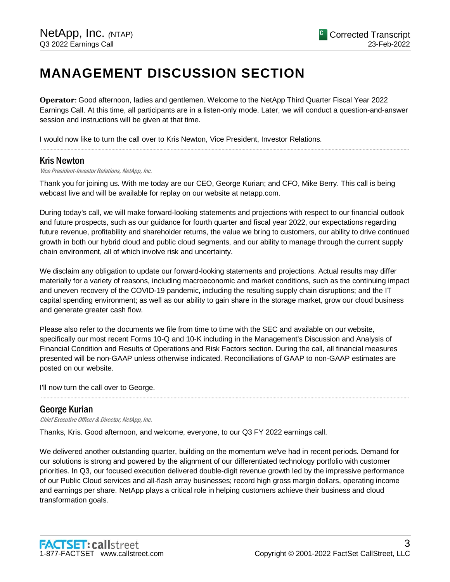# **MANAGEMENT DISCUSSION SECTION**

**Operator**: Good afternoon, ladies and gentlemen. Welcome to the NetApp Third Quarter Fiscal Year 2022 Earnings Call. At this time, all participants are in a listen-only mode. Later, we will conduct a question-and-answer session and instructions will be given at that time.

.....................................................................................................................................................................................................................................................................

I would now like to turn the call over to Kris Newton, Vice President, Investor Relations.

# Kris Newton

Vice President-Investor Relations, NetApp, Inc.

Thank you for joining us. With me today are our CEO, George Kurian; and CFO, Mike Berry. This call is being webcast live and will be available for replay on our website at netapp.com.

During today's call, we will make forward-looking statements and projections with respect to our financial outlook and future prospects, such as our guidance for fourth quarter and fiscal year 2022, our expectations regarding future revenue, profitability and shareholder returns, the value we bring to customers, our ability to drive continued growth in both our hybrid cloud and public cloud segments, and our ability to manage through the current supply chain environment, all of which involve risk and uncertainty.

We disclaim any obligation to update our forward-looking statements and projections. Actual results may differ materially for a variety of reasons, including macroeconomic and market conditions, such as the continuing impact and uneven recovery of the COVID-19 pandemic, including the resulting supply chain disruptions; and the IT capital spending environment; as well as our ability to gain share in the storage market, grow our cloud business and generate greater cash flow.

Please also refer to the documents we file from time to time with the SEC and available on our website, specifically our most recent Forms 10-Q and 10-K including in the Management's Discussion and Analysis of Financial Condition and Results of Operations and Risk Factors section. During the call, all financial measures presented will be non-GAAP unless otherwise indicated. Reconciliations of GAAP to non-GAAP estimates are posted on our website.

.....................................................................................................................................................................................................................................................................

I'll now turn the call over to George.

# George Kurian

Chief Executive Officer & Director, NetApp, Inc.

Thanks, Kris. Good afternoon, and welcome, everyone, to our Q3 FY 2022 earnings call.

We delivered another outstanding quarter, building on the momentum we've had in recent periods. Demand for our solutions is strong and powered by the alignment of our differentiated technology portfolio with customer priorities. In Q3, our focused execution delivered double-digit revenue growth led by the impressive performance of our Public Cloud services and all-flash array businesses; record high gross margin dollars, operating income and earnings per share. NetApp plays a critical role in helping customers achieve their business and cloud transformation goals.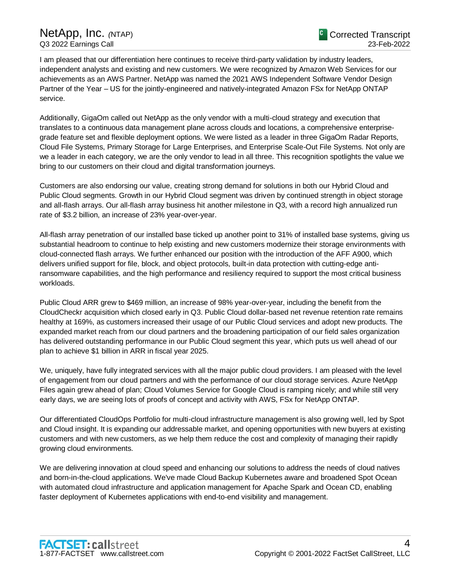I am pleased that our differentiation here continues to receive third-party validation by industry leaders, independent analysts and existing and new customers. We were recognized by Amazon Web Services for our achievements as an AWS Partner. NetApp was named the 2021 AWS Independent Software Vendor Design Partner of the Year – US for the jointly-engineered and natively-integrated Amazon FSx for NetApp ONTAP service.

Additionally, GigaOm called out NetApp as the only vendor with a multi-cloud strategy and execution that translates to a continuous data management plane across clouds and locations, a comprehensive enterprisegrade feature set and flexible deployment options. We were listed as a leader in three GigaOm Radar Reports, Cloud File Systems, Primary Storage for Large Enterprises, and Enterprise Scale-Out File Systems. Not only are we a leader in each category, we are the only vendor to lead in all three. This recognition spotlights the value we bring to our customers on their cloud and digital transformation journeys.

Customers are also endorsing our value, creating strong demand for solutions in both our Hybrid Cloud and Public Cloud segments. Growth in our Hybrid Cloud segment was driven by continued strength in object storage and all-flash arrays. Our all-flash array business hit another milestone in Q3, with a record high annualized run rate of \$3.2 billion, an increase of 23% year-over-year.

All-flash array penetration of our installed base ticked up another point to 31% of installed base systems, giving us substantial headroom to continue to help existing and new customers modernize their storage environments with cloud-connected flash arrays. We further enhanced our position with the introduction of the AFF A900, which delivers unified support for file, block, and object protocols, built-in data protection with cutting-edge antiransomware capabilities, and the high performance and resiliency required to support the most critical business workloads.

Public Cloud ARR grew to \$469 million, an increase of 98% year-over-year, including the benefit from the CloudCheckr acquisition which closed early in Q3. Public Cloud dollar-based net revenue retention rate remains healthy at 169%, as customers increased their usage of our Public Cloud services and adopt new products. The expanded market reach from our cloud partners and the broadening participation of our field sales organization has delivered outstanding performance in our Public Cloud segment this year, which puts us well ahead of our plan to achieve \$1 billion in ARR in fiscal year 2025.

We, uniquely, have fully integrated services with all the major public cloud providers. I am pleased with the level of engagement from our cloud partners and with the performance of our cloud storage services. Azure NetApp Files again grew ahead of plan; Cloud Volumes Service for Google Cloud is ramping nicely; and while still very early days, we are seeing lots of proofs of concept and activity with AWS, FSx for NetApp ONTAP.

Our differentiated CloudOps Portfolio for multi-cloud infrastructure management is also growing well, led by Spot and Cloud insight. It is expanding our addressable market, and opening opportunities with new buyers at existing customers and with new customers, as we help them reduce the cost and complexity of managing their rapidly growing cloud environments.

We are delivering innovation at cloud speed and enhancing our solutions to address the needs of cloud natives and born-in-the-cloud applications. We've made Cloud Backup Kubernetes aware and broadened Spot Ocean with automated cloud infrastructure and application management for Apache Spark and Ocean CD, enabling faster deployment of Kubernetes applications with end-to-end visibility and management.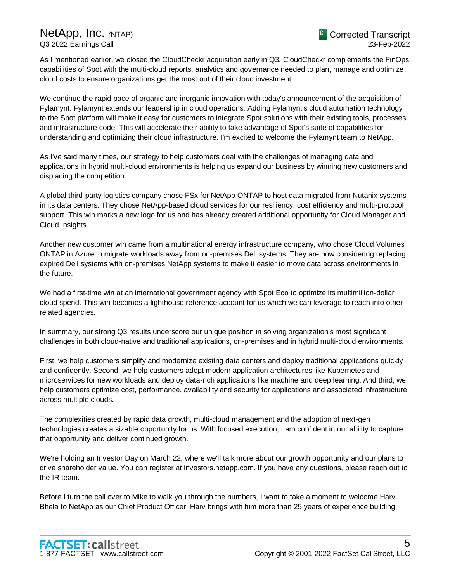As I mentioned earlier, we closed the CloudCheckr acquisition early in Q3. CloudCheckr complements the FinOps capabilities of Spot with the multi-cloud reports, analytics and governance needed to plan, manage and optimize cloud costs to ensure organizations get the most out of their cloud investment.

We continue the rapid pace of organic and inorganic innovation with today's announcement of the acquisition of Fylamynt. Fylamynt extends our leadership in cloud operations. Adding Fylamynt's cloud automation technology to the Spot platform will make it easy for customers to integrate Spot solutions with their existing tools, processes and infrastructure code. This will accelerate their ability to take advantage of Spot's suite of capabilities for understanding and optimizing their cloud infrastructure. I'm excited to welcome the Fylamynt team to NetApp.

As I've said many times, our strategy to help customers deal with the challenges of managing data and applications in hybrid multi-cloud environments is helping us expand our business by winning new customers and displacing the competition.

A global third-party logistics company chose FSx for NetApp ONTAP to host data migrated from Nutanix systems in its data centers. They chose NetApp-based cloud services for our resiliency, cost efficiency and multi-protocol support. This win marks a new logo for us and has already created additional opportunity for Cloud Manager and Cloud Insights.

Another new customer win came from a multinational energy infrastructure company, who chose Cloud Volumes ONTAP in Azure to migrate workloads away from on-premises Dell systems. They are now considering replacing expired Dell systems with on-premises NetApp systems to make it easier to move data across environments in the future.

We had a first-time win at an international government agency with Spot Eco to optimize its multimillion-dollar cloud spend. This win becomes a lighthouse reference account for us which we can leverage to reach into other related agencies.

In summary, our strong Q3 results underscore our unique position in solving organization's most significant challenges in both cloud-native and traditional applications, on-premises and in hybrid multi-cloud environments.

First, we help customers simplify and modernize existing data centers and deploy traditional applications quickly and confidently. Second, we help customers adopt modern application architectures like Kubernetes and microservices for new workloads and deploy data-rich applications like machine and deep learning. And third, we help customers optimize cost, performance, availability and security for applications and associated infrastructure across multiple clouds.

The complexities created by rapid data growth, multi-cloud management and the adoption of next-gen technologies creates a sizable opportunity for us. With focused execution, I am confident in our ability to capture that opportunity and deliver continued growth.

We're holding an Investor Day on March 22, where we'll talk more about our growth opportunity and our plans to drive shareholder value. You can register at investors.netapp.com. If you have any questions, please reach out to the IR team.

Before I turn the call over to Mike to walk you through the numbers, I want to take a moment to welcome Harv Bhela to NetApp as our Chief Product Officer. Harv brings with him more than 25 years of experience building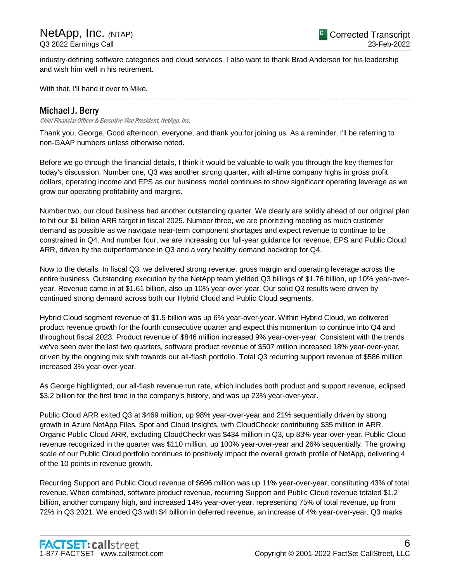industry-defining software categories and cloud services. I also want to thank Brad Anderson for his leadership and wish him well in his retirement.

.....................................................................................................................................................................................................................................................................

With that, I'll hand it over to Mike.

# Michael J. Berry

Chief Financial Officer & Executive Vice President, NetApp, Inc.

Thank you, George. Good afternoon, everyone, and thank you for joining us. As a reminder, I'll be referring to non-GAAP numbers unless otherwise noted.

Before we go through the financial details, I think it would be valuable to walk you through the key themes for today's discussion. Number one, Q3 was another strong quarter, with all-time company highs in gross profit dollars, operating income and EPS as our business model continues to show significant operating leverage as we grow our operating profitability and margins.

Number two, our cloud business had another outstanding quarter. We clearly are solidly ahead of our original plan to hit our \$1 billion ARR target in fiscal 2025. Number three, we are prioritizing meeting as much customer demand as possible as we navigate near-term component shortages and expect revenue to continue to be constrained in Q4. And number four, we are increasing our full-year guidance for revenue, EPS and Public Cloud ARR, driven by the outperformance in Q3 and a very healthy demand backdrop for Q4.

Now to the details. In fiscal Q3, we delivered strong revenue, gross margin and operating leverage across the entire business. Outstanding execution by the NetApp team yielded Q3 billings of \$1.76 billion, up 10% year-overyear. Revenue came in at \$1.61 billion, also up 10% year-over-year. Our solid Q3 results were driven by continued strong demand across both our Hybrid Cloud and Public Cloud segments.

Hybrid Cloud segment revenue of \$1.5 billion was up 6% year-over-year. Within Hybrid Cloud, we delivered product revenue growth for the fourth consecutive quarter and expect this momentum to continue into Q4 and throughout fiscal 2023. Product revenue of \$846 million increased 9% year-over-year. Consistent with the trends we've seen over the last two quarters, software product revenue of \$507 million increased 18% year-over-year, driven by the ongoing mix shift towards our all-flash portfolio. Total Q3 recurring support revenue of \$586 million increased 3% year-over-year.

As George highlighted, our all-flash revenue run rate, which includes both product and support revenue, eclipsed \$3.2 billion for the first time in the company's history, and was up 23% year-over-year.

Public Cloud ARR exited Q3 at \$469 million, up 98% year-over-year and 21% sequentially driven by strong growth in Azure NetApp Files, Spot and Cloud Insights, with CloudCheckr contributing \$35 million in ARR. Organic Public Cloud ARR, excluding CloudCheckr was \$434 million in Q3, up 83% year-over-year. Public Cloud revenue recognized in the quarter was \$110 million, up 100% year-over-year and 26% sequentially. The growing scale of our Public Cloud portfolio continues to positively impact the overall growth profile of NetApp, delivering 4 of the 10 points in revenue growth.

Recurring Support and Public Cloud revenue of \$696 million was up 11% year-over-year, constituting 43% of total revenue. When combined, software product revenue, recurring Support and Public Cloud revenue totaled \$1.2 billion, another company high, and increased 14% year-over-year, representing 75% of total revenue, up from 72% in Q3 2021. We ended Q3 with \$4 billion in deferred revenue, an increase of 4% year-over-year. Q3 marks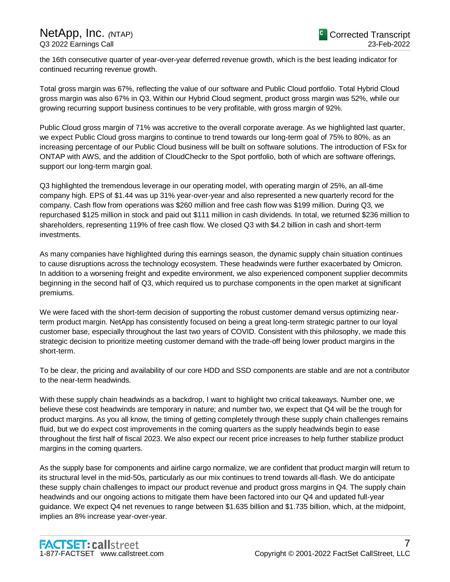the 16th consecutive quarter of year-over-year deferred revenue growth, which is the best leading indicator for continued recurring revenue growth.

Total gross margin was 67%, reflecting the value of our software and Public Cloud portfolio. Total Hybrid Cloud gross margin was also 67% in Q3. Within our Hybrid Cloud segment, product gross margin was 52%, while our growing recurring support business continues to be very profitable, with gross margin of 92%.

Public Cloud gross margin of 71% was accretive to the overall corporate average. As we highlighted last quarter, we expect Public Cloud gross margins to continue to trend towards our long-term goal of 75% to 80%, as an increasing percentage of our Public Cloud business will be built on software solutions. The introduction of FSx for ONTAP with AWS, and the addition of CloudCheckr to the Spot portfolio, both of which are software offerings, support our long-term margin goal.

Q3 highlighted the tremendous leverage in our operating model, with operating margin of 25%, an all-time company high. EPS of \$1.44 was up 31% year-over-year and also represented a new quarterly record for the company. Cash flow from operations was \$260 million and free cash flow was \$199 million. During Q3, we repurchased \$125 million in stock and paid out \$111 million in cash dividends. In total, we returned \$236 million to shareholders, representing 119% of free cash flow. We closed Q3 with \$4.2 billion in cash and short-term investments.

As many companies have highlighted during this earnings season, the dynamic supply chain situation continues to cause disruptions across the technology ecosystem. These headwinds were further exacerbated by Omicron. In addition to a worsening freight and expedite environment, we also experienced component supplier decommits beginning in the second half of Q3, which required us to purchase components in the open market at significant premiums.

We were faced with the short-term decision of supporting the robust customer demand versus optimizing nearterm product margin. NetApp has consistently focused on being a great long-term strategic partner to our loyal customer base, especially throughout the last two years of COVID. Consistent with this philosophy, we made this strategic decision to prioritize meeting customer demand with the trade-off being lower product margins in the short-term.

To be clear, the pricing and availability of our core HDD and SSD components are stable and are not a contributor to the near-term headwinds.

With these supply chain headwinds as a backdrop, I want to highlight two critical takeaways. Number one, we believe these cost headwinds are temporary in nature; and number two, we expect that Q4 will be the trough for product margins. As you all know, the timing of getting completely through these supply chain challenges remains fluid, but we do expect cost improvements in the coming quarters as the supply headwinds begin to ease throughout the first half of fiscal 2023. We also expect our recent price increases to help further stabilize product margins in the coming quarters.

As the supply base for components and airline cargo normalize, we are confident that product margin will return to its structural level in the mid-50s, particularly as our mix continues to trend towards all-flash. We do anticipate these supply chain challenges to impact our product revenue and product gross margins in Q4. The supply chain headwinds and our ongoing actions to mitigate them have been factored into our Q4 and updated full-year guidance. We expect Q4 net revenues to range between \$1.635 billion and \$1.735 billion, which, at the midpoint, implies an 8% increase year-over-year.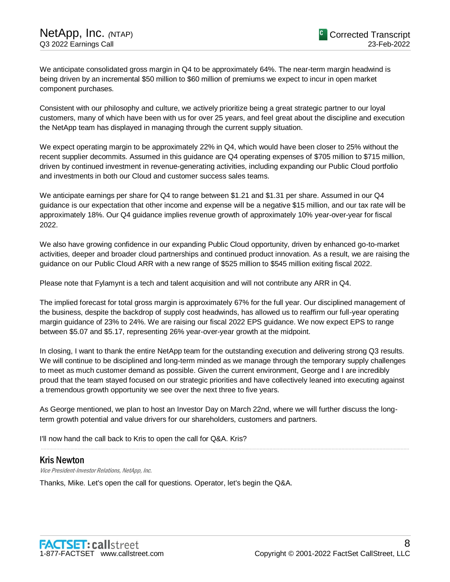We anticipate consolidated gross margin in Q4 to be approximately 64%. The near-term margin headwind is being driven by an incremental \$50 million to \$60 million of premiums we expect to incur in open market component purchases.

Consistent with our philosophy and culture, we actively prioritize being a great strategic partner to our loyal customers, many of which have been with us for over 25 years, and feel great about the discipline and execution the NetApp team has displayed in managing through the current supply situation.

We expect operating margin to be approximately 22% in Q4, which would have been closer to 25% without the recent supplier decommits. Assumed in this guidance are Q4 operating expenses of \$705 million to \$715 million, driven by continued investment in revenue-generating activities, including expanding our Public Cloud portfolio and investments in both our Cloud and customer success sales teams.

We anticipate earnings per share for Q4 to range between \$1.21 and \$1.31 per share. Assumed in our Q4 guidance is our expectation that other income and expense will be a negative \$15 million, and our tax rate will be approximately 18%. Our Q4 guidance implies revenue growth of approximately 10% year-over-year for fiscal 2022.

We also have growing confidence in our expanding Public Cloud opportunity, driven by enhanced go-to-market activities, deeper and broader cloud partnerships and continued product innovation. As a result, we are raising the guidance on our Public Cloud ARR with a new range of \$525 million to \$545 million exiting fiscal 2022.

Please note that Fylamynt is a tech and talent acquisition and will not contribute any ARR in Q4.

The implied forecast for total gross margin is approximately 67% for the full year. Our disciplined management of the business, despite the backdrop of supply cost headwinds, has allowed us to reaffirm our full-year operating margin guidance of 23% to 24%. We are raising our fiscal 2022 EPS guidance. We now expect EPS to range between \$5.07 and \$5.17, representing 26% year-over-year growth at the midpoint.

In closing, I want to thank the entire NetApp team for the outstanding execution and delivering strong Q3 results. We will continue to be disciplined and long-term minded as we manage through the temporary supply challenges to meet as much customer demand as possible. Given the current environment, George and I are incredibly proud that the team stayed focused on our strategic priorities and have collectively leaned into executing against a tremendous growth opportunity we see over the next three to five years.

As George mentioned, we plan to host an Investor Day on March 22nd, where we will further discuss the longterm growth potential and value drivers for our shareholders, customers and partners.

.....................................................................................................................................................................................................................................................................

I'll now hand the call back to Kris to open the call for Q&A. Kris?

# Kris Newton

Vice President-Investor Relations, NetApp, Inc.

Thanks, Mike. Let's open the call for questions. Operator, let's begin the Q&A.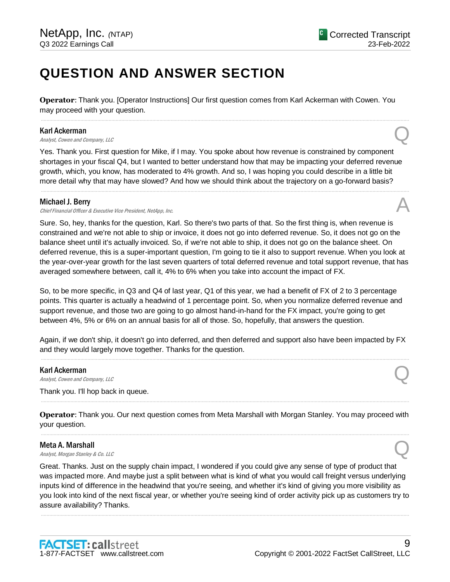# **QUESTION AND ANSWER SECTION**

**Operator**: Thank you. [Operator Instructions] Our first question comes from Karl Ackerman with Cowen. You may proceed with your question.

.....................................................................................................................................................................................................................................................................

#### Karl Ackerman

**Karl Ackerman**<br>Analyst, Cowen and Company, LLC

Yes. Thank you. First question for Mike, if I may. You spoke about how revenue is constrained by component shortages in your fiscal Q4, but I wanted to better understand how that may be impacting your deferred revenue growth, which, you know, has moderated to 4% growth. And so, I was hoping you could describe in a little bit more detail why that may have slowed? And how we should think about the trajectory on a go-forward basis?

.....................................................................................................................................................................................................................................................................

#### Michael J. Berry

Chief Financial Officer & Executive Vice President, NetApp, Inc.

Sure. So, hey, thanks for the question, Karl. So there's two parts of that. So the first thing is, when revenue is constrained and we're not able to ship or invoice, it does not go into deferred revenue. So, it does not go on the balance sheet until it's actually invoiced. So, if we're not able to ship, it does not go on the balance sheet. On deferred revenue, this is a super-important question, I'm going to tie it also to support revenue. When you look at the year-over-year growth for the last seven quarters of total deferred revenue and total support revenue, that has averaged somewhere between, call it, 4% to 6% when you take into account the impact of FX.

So, to be more specific, in Q3 and Q4 of last year, Q1 of this year, we had a benefit of FX of 2 to 3 percentage points. This quarter is actually a headwind of 1 percentage point. So, when you normalize deferred revenue and support revenue, and those two are going to go almost hand-in-hand for the FX impact, you're going to get between 4%, 5% or 6% on an annual basis for all of those. So, hopefully, that answers the question.

Again, if we don't ship, it doesn't go into deferred, and then deferred and support also have been impacted by FX and they would largely move together. Thanks for the question. .....................................................................................................................................................................................................................................................................

#### Karl Ackerman

**Karl Ackerman**<br>Analyst, Cowen and Company, LLC

Thank you. I'll hop back in queue.

**Operator**: Thank you. Our next question comes from Meta Marshall with Morgan Stanley. You may proceed with your question. .....................................................................................................................................................................................................................................................................

.....................................................................................................................................................................................................................................................................

#### Meta A. Marshall

**Meta A. Marshall**<br>Analyst, Morgan Stanley & Co. LLC  $\bigotimes$ 

Great. Thanks. Just on the supply chain impact, I wondered if you could give any sense of type of product that was impacted more. And maybe just a split between what is kind of what you would call freight versus underlying inputs kind of difference in the headwind that you're seeing, and whether it's kind of giving you more visibility as you look into kind of the next fiscal year, or whether you're seeing kind of order activity pick up as customers try to assure availability? Thanks.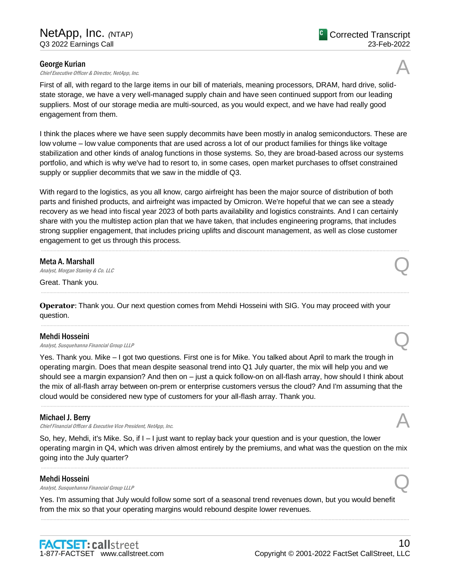# George Kurian

engagement from them.

**George Kurian**<br>Chief Executive Officer & Director, NetApp, Inc.  $\mathcal{A}$ First of all, with regard to the large items in our bill of materials, meaning processors, DRAM, hard drive, solidstate storage, we have a very well-managed supply chain and have seen continued support from our leading suppliers. Most of our storage media are multi-sourced, as you would expect, and we have had really good

I think the places where we have seen supply decommits have been mostly in analog semiconductors. These are low volume – low value components that are used across a lot of our product families for things like voltage stabilization and other kinds of analog functions in those systems. So, they are broad-based across our systems portfolio, and which is why we've had to resort to, in some cases, open market purchases to offset constrained supply or supplier decommits that we saw in the middle of Q3.

With regard to the logistics, as you all know, cargo airfreight has been the major source of distribution of both parts and finished products, and airfreight was impacted by Omicron. We're hopeful that we can see a steady recovery as we head into fiscal year 2023 of both parts availability and logistics constraints. And I can certainly share with you the multistep action plan that we have taken, that includes engineering programs, that includes strong supplier engagement, that includes pricing uplifts and discount management, as well as close customer engagement to get us through this process.

.....................................................................................................................................................................................................................................................................

.....................................................................................................................................................................................................................................................................

.....................................................................................................................................................................................................................................................................

# Meta A. Marshall

**Meta A. Marshall**<br>Analyst, Morgan Stanley & Co. LLC  $\mathcal{Q}$ 

Great. Thank you.

**Operator**: Thank you. Our next question comes from Mehdi Hosseini with SIG. You may proceed with your question.

# Mehdi Hosseini

**Mehdi Hosseini**<br>Analyst, Susquehanna Financial Group LLLP  $\mathbb{Q}$ 

Yes. Thank you. Mike – I got two questions. First one is for Mike. You talked about April to mark the trough in operating margin. Does that mean despite seasonal trend into Q1 July quarter, the mix will help you and we should see a margin expansion? And then on – just a quick follow-on on all-flash array, how should I think about the mix of all-flash array between on-prem or enterprise customers versus the cloud? And I'm assuming that the cloud would be considered new type of customers for your all-flash array. Thank you.

.....................................................................................................................................................................................................................................................................

# Michael J. Berry

Chief Financial Officer & Executive Vice President, NetApp, Inc.

So, hey, Mehdi, it's Mike. So, if I – I just want to replay back your question and is your question, the lower operating margin in Q4, which was driven almost entirely by the premiums, and what was the question on the mix going into the July quarter?

.....................................................................................................................................................................................................................................................................

# Mehdi Hosseini

**Mehdi Hosseini**<br>Analyst, Susquehanna Financial Group LLLP  $\mathcal{Q}$ 

Yes. I'm assuming that July would follow some sort of a seasonal trend revenues down, but you would benefit from the mix so that your operating margins would rebound despite lower revenues.



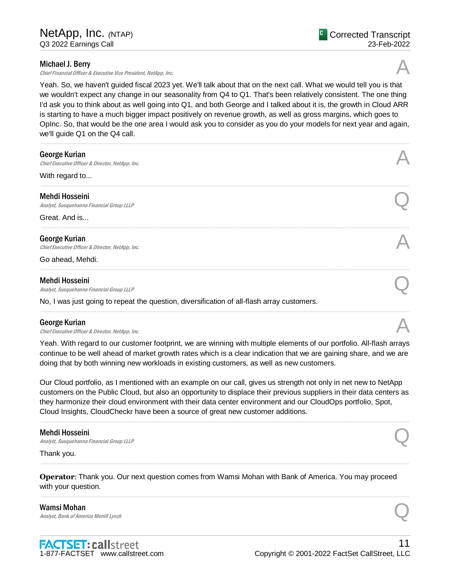# Michael J. Berry

Chief Financial Officer & Executive Vice President, NetApp, Inc.

Yeah. So, we haven't guided fiscal 2023 yet. We'll talk about that on the next call. What we would tell you is that we wouldn't expect any change in our seasonality from Q4 to Q1. That's been relatively consistent. The one thing I'd ask you to think about as well going into Q1, and both George and I talked about it is, the growth in Cloud ARR is starting to have a much bigger impact positively on revenue growth, as well as gross margins, which goes to OpInc. So, that would be the one area I would ask you to consider as you do your models for next year and again, we'll guide Q1 on the Q4 call.

| George Kurian<br>Chief Executive Officer & Director, NetApp, Inc.                          |  |
|--------------------------------------------------------------------------------------------|--|
| With regard to                                                                             |  |
| Mehdi Hosseini<br>Analyst, Susquehanna Financial Group LLLP                                |  |
| Great. And is                                                                              |  |
| George Kurian<br>Chief Executive Officer & Director, NetApp, Inc.                          |  |
| Go ahead, Mehdi.                                                                           |  |
| Mehdi Hosseini<br>Analyst, Susquehanna Financial Group LLLP                                |  |
| No, I was just going to repeat the question, diversification of all-flash array customers. |  |
|                                                                                            |  |

#### George Kurian

**George Kurian**<br>Chief Executive Officer & Director, NetApp, Inc.  $\mathcal{A}$ 

Yeah. With regard to our customer footprint, we are winning with multiple elements of our portfolio. All-flash arrays continue to be well ahead of market growth rates which is a clear indication that we are gaining share, and we are doing that by both winning new workloads in existing customers, as well as new customers.

Our Cloud portfolio, as I mentioned with an example on our call, gives us strength not only in net new to NetApp customers on the Public Cloud, but also an opportunity to displace their previous suppliers in their data centers as they harmonize their cloud environment with their data center environment and our CloudOps portfolio, Spot, Cloud Insights, CloudCheckr have been a source of great new customer additions.

.....................................................................................................................................................................................................................................................................

.....................................................................................................................................................................................................................................................................

.....................................................................................................................................................................................................................................................................

#### Mehdi Hosseini

**Mehdi Hosseini**<br>Analyst, Susquehanna Financial Group LLLP  $\mathcal{Q}$ 

Thank you.

**Operator**: Thank you. Our next question comes from Wamsi Mohan with Bank of America. You may proceed with your question.

Wamsi Mohan **Wamsi Mohan**<br>Analyst, Bank of America Merrill Lynch  $\mathbb{Q}$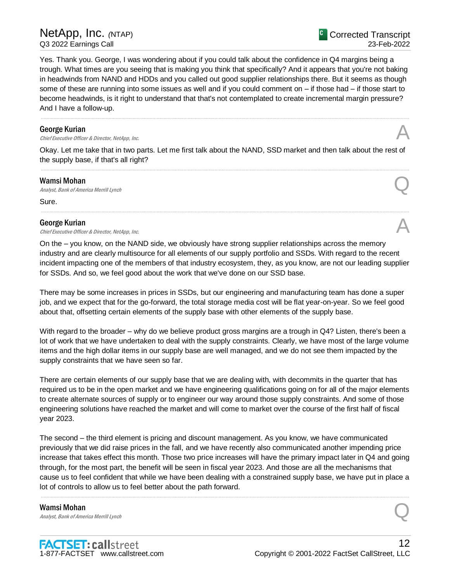Yes. Thank you. George, I was wondering about if you could talk about the confidence in Q4 margins being a trough. What times are you seeing that is making you think that specifically? And it appears that you're not baking in headwinds from NAND and HDDs and you called out good supplier relationships there. But it seems as though some of these are running into some issues as well and if you could comment on – if those had – if those start to become headwinds, is it right to understand that that's not contemplated to create incremental margin pressure? And I have a follow-up.

.....................................................................................................................................................................................................................................................................

#### George Kurian

**George Kurian**<br>Chief Executive Officer & Director, NetApp, Inc.  $\mathcal{A}$ 

Okay. Let me take that in two parts. Let me first talk about the NAND, SSD market and then talk about the rest of the supply base, if that's all right? .....................................................................................................................................................................................................................................................................

#### Wamsi Mohan

**Wamsi Mohan**<br>Analyst, Bank of America Merrill Lynch  $\mathbb{Q}$ 

Sure.

# George Kurian

**George Kurian**<br>Chief Executive Officer & Director, NetApp, Inc.  $\mathcal{A}$ 

On the – you know, on the NAND side, we obviously have strong supplier relationships across the memory industry and are clearly multisource for all elements of our supply portfolio and SSDs. With regard to the recent incident impacting one of the members of that industry ecosystem, they, as you know, are not our leading supplier for SSDs. And so, we feel good about the work that we've done on our SSD base.

.....................................................................................................................................................................................................................................................................

There may be some increases in prices in SSDs, but our engineering and manufacturing team has done a super job, and we expect that for the go-forward, the total storage media cost will be flat year-on-year. So we feel good about that, offsetting certain elements of the supply base with other elements of the supply base.

With regard to the broader – why do we believe product gross margins are a trough in Q4? Listen, there's been a lot of work that we have undertaken to deal with the supply constraints. Clearly, we have most of the large volume items and the high dollar items in our supply base are well managed, and we do not see them impacted by the supply constraints that we have seen so far.

There are certain elements of our supply base that we are dealing with, with decommits in the quarter that has required us to be in the open market and we have engineering qualifications going on for all of the major elements to create alternate sources of supply or to engineer our way around those supply constraints. And some of those engineering solutions have reached the market and will come to market over the course of the first half of fiscal year 2023.

The second – the third element is pricing and discount management. As you know, we have communicated previously that we did raise prices in the fall, and we have recently also communicated another impending price increase that takes effect this month. Those two price increases will have the primary impact later in Q4 and going through, for the most part, the benefit will be seen in fiscal year 2023. And those are all the mechanisms that cause us to feel confident that while we have been dealing with a constrained supply base, we have put in place a lot of controls to allow us to feel better about the path forward.

.....................................................................................................................................................................................................................................................................

Wamsi Mohan **Wamsi Mohan**<br>Analyst, Bank of America Merrill Lynch  $\mathbb{Q}$ 

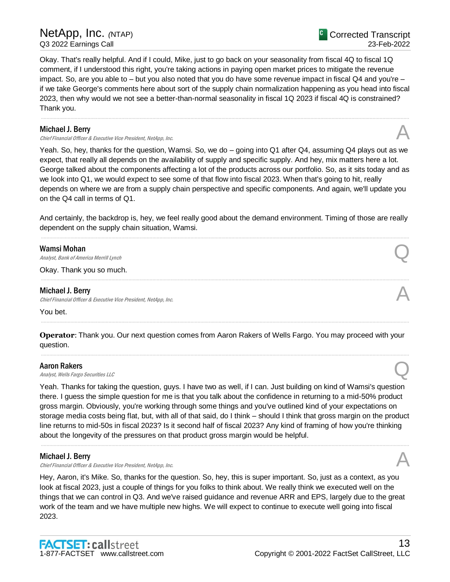Okay. That's really helpful. And if I could, Mike, just to go back on your seasonality from fiscal 4Q to fiscal 1Q comment, if I understood this right, you're taking actions in paying open market prices to mitigate the revenue impact. So, are you able to – but you also noted that you do have some revenue impact in fiscal Q4 and you're – if we take George's comments here about sort of the supply chain normalization happening as you head into fiscal 2023, then why would we not see a better-than-normal seasonality in fiscal 1Q 2023 if fiscal 4Q is constrained? Thank you.

.....................................................................................................................................................................................................................................................................

# Michael J. Berry

Chief Financial Officer & Executive Vice President, NetApp, Inc.

Yeah. So, hey, thanks for the question, Wamsi. So, we do – going into Q1 after Q4, assuming Q4 plays out as we expect, that really all depends on the availability of supply and specific supply. And hey, mix matters here a lot. George talked about the components affecting a lot of the products across our portfolio. So, as it sits today and as we look into Q1, we would expect to see some of that flow into fiscal 2023. When that's going to hit, really depends on where we are from a supply chain perspective and specific components. And again, we'll update you on the Q4 call in terms of Q1.

And certainly, the backdrop is, hey, we feel really good about the demand environment. Timing of those are really dependent on the supply chain situation, Wamsi. .....................................................................................................................................................................................................................................................................

.....................................................................................................................................................................................................................................................................

# Wamsi Mohan

**Wamsi Mohan**<br>Analyst, Bank of America Merrill Lynch  $\mathbb{Q}$ 

Okay. Thank you so much.

#### Michael J. Berry

Chief Financial Officer & Executive Vice President, NetApp, Inc. A

You bet.

**Operator**: Thank you. Our next question comes from Aaron Rakers of Wells Fargo. You may proceed with your question. .....................................................................................................................................................................................................................................................................

.....................................................................................................................................................................................................................................................................

# Aaron Rakers

**Aaron Rakers**<br>Analyst, Wells Fargo Securities LLC

Yeah. Thanks for taking the question, guys. I have two as well, if I can. Just building on kind of Wamsi's question there. I guess the simple question for me is that you talk about the confidence in returning to a mid-50% product gross margin. Obviously, you're working through some things and you've outlined kind of your expectations on storage media costs being flat, but, with all of that said, do I think – should I think that gross margin on the product line returns to mid-50s in fiscal 2023? Is it second half of fiscal 2023? Any kind of framing of how you're thinking about the longevity of the pressures on that product gross margin would be helpful.

.....................................................................................................................................................................................................................................................................

# Michael J. Berry

Chief Financial Officer & Executive Vice President, NetApp, Inc. A

Hey, Aaron, it's Mike. So, thanks for the question. So, hey, this is super important. So, just as a context, as you look at fiscal 2023, just a couple of things for you folks to think about. We really think we executed well on the things that we can control in Q3. And we've raised guidance and revenue ARR and EPS, largely due to the great work of the team and we have multiple new highs. We will expect to continue to execute well going into fiscal 2023.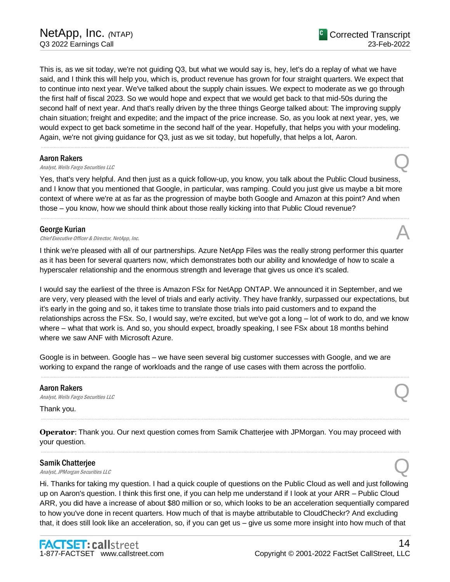This is, as we sit today, we're not guiding Q3, but what we would say is, hey, let's do a replay of what we have said, and I think this will help you, which is, product revenue has grown for four straight quarters. We expect that to continue into next year. We've talked about the supply chain issues. We expect to moderate as we go through the first half of fiscal 2023. So we would hope and expect that we would get back to that mid-50s during the second half of next year. And that's really driven by the three things George talked about: The improving supply chain situation; freight and expedite; and the impact of the price increase. So, as you look at next year, yes, we would expect to get back sometime in the second half of the year. Hopefully, that helps you with your modeling. Again, we're not giving guidance for Q3, just as we sit today, but hopefully, that helps a lot, Aaron.

.....................................................................................................................................................................................................................................................................

#### Aaron Rakers

**Aaron Rakers**<br>Analyst, Wells Fargo Securities LLC

Yes, that's very helpful. And then just as a quick follow-up, you know, you talk about the Public Cloud business, and I know that you mentioned that Google, in particular, was ramping. Could you just give us maybe a bit more context of where we're at as far as the progression of maybe both Google and Amazon at this point? And when those – you know, how we should think about those really kicking into that Public Cloud revenue?

.....................................................................................................................................................................................................................................................................

#### George Kurian

**George Kurian**<br>Chief Executive Officer & Director, NetApp, Inc.  $\mathcal{A}$ 

I think we're pleased with all of our partnerships. Azure NetApp Files was the really strong performer this quarter as it has been for several quarters now, which demonstrates both our ability and knowledge of how to scale a hyperscaler relationship and the enormous strength and leverage that gives us once it's scaled.

I would say the earliest of the three is Amazon FSx for NetApp ONTAP. We announced it in September, and we are very, very pleased with the level of trials and early activity. They have frankly, surpassed our expectations, but it's early in the going and so, it takes time to translate those trials into paid customers and to expand the relationships across the FSx. So, I would say, we're excited, but we've got a long – lot of work to do, and we know where – what that work is. And so, you should expect, broadly speaking, I see FSx about 18 months behind where we saw ANF with Microsoft Azure.

Google is in between. Google has – we have seen several big customer successes with Google, and we are working to expand the range of workloads and the range of use cases with them across the portfolio.

.....................................................................................................................................................................................................................................................................

#### Aaron Rakers

**Aaron Rakers**<br>Analyst, Wells Fargo Securities LLC

Thank you.

**Operator**: Thank you. Our next question comes from Samik Chatterjee with JPMorgan. You may proceed with your question.

.....................................................................................................................................................................................................................................................................

.....................................................................................................................................................................................................................................................................

#### Samik Chatterjee

**Samik Chatterjee**<br>Analyst, JPMorgan Securities LLC

Hi. Thanks for taking my question. I had a quick couple of questions on the Public Cloud as well and just following up on Aaron's question. I think this first one, if you can help me understand if I look at your ARR – Public Cloud ARR, you did have a increase of about \$80 million or so, which looks to be an acceleration sequentially compared to how you've done in recent quarters. How much of that is maybe attributable to CloudCheckr? And excluding that, it does still look like an acceleration, so, if you can get us – give us some more insight into how much of that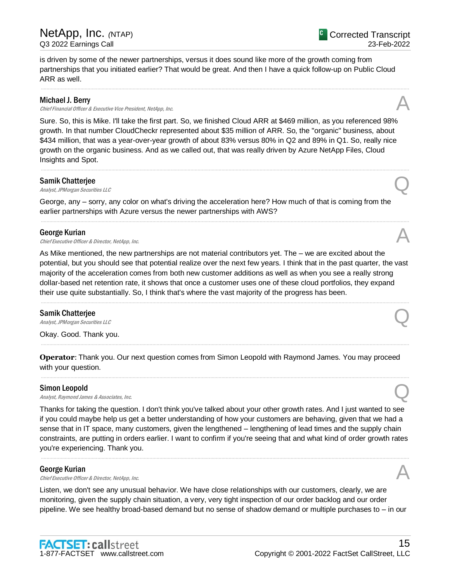is driven by some of the newer partnerships, versus it does sound like more of the growth coming from partnerships that you initiated earlier? That would be great. And then I have a quick follow-up on Public Cloud ARR as well.

.....................................................................................................................................................................................................................................................................

# Michael J. Berry

Chief Financial Officer & Executive Vice President, NetApp, Inc.

Sure. So, this is Mike. I'll take the first part. So, we finished Cloud ARR at \$469 million, as you referenced 98% growth. In that number CloudCheckr represented about \$35 million of ARR. So, the "organic" business, about \$434 million, that was a year-over-year growth of about 83% versus 80% in Q2 and 89% in Q1. So, really nice growth on the organic business. And as we called out, that was really driven by Azure NetApp Files, Cloud Insights and Spot.

.....................................................................................................................................................................................................................................................................

.....................................................................................................................................................................................................................................................................

#### Samik Chatterjee

**Samik Chatterjee**<br>Analyst, JPMorgan Securities LLC

George, any – sorry, any color on what's driving the acceleration here? How much of that is coming from the earlier partnerships with Azure versus the newer partnerships with AWS?

#### George Kurian

**George Kurian**<br>Chief Executive Officer & Director, NetApp, Inc.  $\mathcal{A}$ 

As Mike mentioned, the new partnerships are not material contributors yet. The – we are excited about the potential, but you should see that potential realize over the next few years. I think that in the past quarter, the vast majority of the acceleration comes from both new customer additions as well as when you see a really strong dollar-based net retention rate, it shows that once a customer uses one of these cloud portfolios, they expand their use quite substantially. So, I think that's where the vast majority of the progress has been.

.....................................................................................................................................................................................................................................................................

.....................................................................................................................................................................................................................................................................

.....................................................................................................................................................................................................................................................................

# Samik Chatterjee

**Samik Chatterjee**<br>Analyst, JPMorgan Securities LLC

Okay. Good. Thank you.

**Operator**: Thank you. Our next question comes from Simon Leopold with Raymond James. You may proceed with your question.

#### Simon Leopold

**Simon Leopold**<br>Analyst, Raymond James & Associates, Inc.  $Q$ 

Thanks for taking the question. I don't think you've talked about your other growth rates. And I just wanted to see if you could maybe help us get a better understanding of how your customers are behaving, given that we had a sense that in IT space, many customers, given the lengthened – lengthening of lead times and the supply chain constraints, are putting in orders earlier. I want to confirm if you're seeing that and what kind of order growth rates you're experiencing. Thank you.

.....................................................................................................................................................................................................................................................................

# George Kurian

**George Kurian**<br>Chief Executive Officer & Director, NetApp, Inc.  $\mathcal{A}$ 

Listen, we don't see any unusual behavior. We have close relationships with our customers, clearly, we are monitoring, given the supply chain situation, a very, very tight inspection of our order backlog and our order pipeline. We see healthy broad-based demand but no sense of shadow demand or multiple purchases to – in our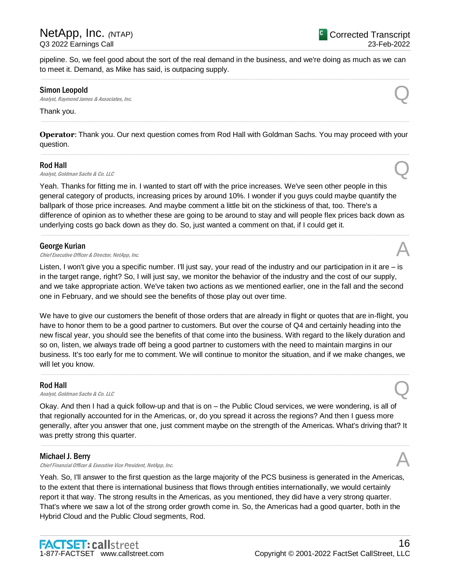Corrected Transcript

23-Feb-2022

pipeline. So, we feel good about the sort of the real demand in the business, and we're doing as much as we can to meet it. Demand, as Mike has said, is outpacing supply. .....................................................................................................................................................................................................................................................................

#### Simon Leopold

**Simon Leopold**<br>Analyst, Raymond James & Associates, Inc.  $Q$ 

#### Thank you.

**Operator**: Thank you. Our next question comes from Rod Hall with Goldman Sachs. You may proceed with your question. .....................................................................................................................................................................................................................................................................

.....................................................................................................................................................................................................................................................................

# Rod Hall

**Rod Hall**<br>Analyst, Goldman Sachs & Co. LLC

Yeah. Thanks for fitting me in. I wanted to start off with the price increases. We've seen other people in this general category of products, increasing prices by around 10%. I wonder if you guys could maybe quantify the ballpark of those price increases. And maybe comment a little bit on the stickiness of that, too. There's a difference of opinion as to whether these are going to be around to stay and will people flex prices back down as underlying costs go back down as they do. So, just wanted a comment on that, if I could get it.

.....................................................................................................................................................................................................................................................................

# George Kurian

**George Kurian**<br>Chief Executive Officer & Director, NetApp, Inc.  $\mathcal{A}$ 

Listen, I won't give you a specific number. I'll just say, your read of the industry and our participation in it are – is in the target range, right? So, I will just say, we monitor the behavior of the industry and the cost of our supply, and we take appropriate action. We've taken two actions as we mentioned earlier, one in the fall and the second one in February, and we should see the benefits of those play out over time.

We have to give our customers the benefit of those orders that are already in flight or quotes that are in-flight, you have to honor them to be a good partner to customers. But over the course of Q4 and certainly heading into the new fiscal year, you should see the benefits of that come into the business. With regard to the likely duration and so on, listen, we always trade off being a good partner to customers with the need to maintain margins in our business. It's too early for me to comment. We will continue to monitor the situation, and if we make changes, we will let you know.

.....................................................................................................................................................................................................................................................................

# Rod Hall

**Rod Hall**<br>Analyst, Goldman Sachs & Co. LLC

Okay. And then I had a quick follow-up and that is on – the Public Cloud services, we were wondering, is all of that regionally accounted for in the Americas, or, do you spread it across the regions? And then I guess more generally, after you answer that one, just comment maybe on the strength of the Americas. What's driving that? It was pretty strong this quarter.

.....................................................................................................................................................................................................................................................................

# Michael J. Berry

Chief Financial Officer & Executive Vice President, NetApp, Inc.

Yeah. So, I'll answer to the first question as the large majority of the PCS business is generated in the Americas, to the extent that there is international business that flows through entities internationally, we would certainly report it that way. The strong results in the Americas, as you mentioned, they did have a very strong quarter. That's where we saw a lot of the strong order growth come in. So, the Americas had a good quarter, both in the Hybrid Cloud and the Public Cloud segments, Rod.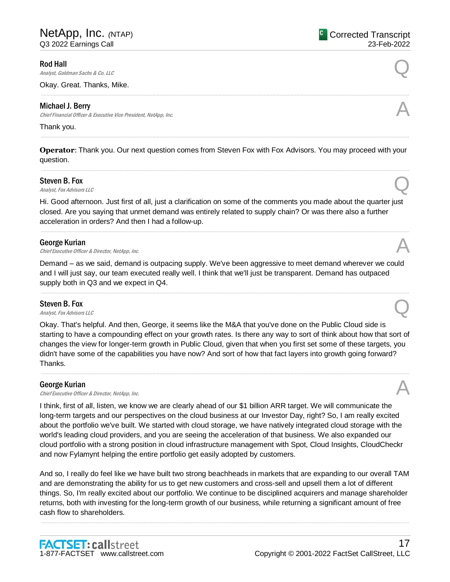#### Rod Hall

**Rod Hall**<br>Analyst, Goldman Sachs & Co. LLC

Okay. Great. Thanks, Mike.

# Michael J. Berry

Chief Financial Officer & Executive Vice President, NetApp, Inc.

#### Thank you.

**Operator**: Thank you. Our next question comes from Steven Fox with Fox Advisors. You may proceed with your question. .....................................................................................................................................................................................................................................................................

.....................................................................................................................................................................................................................................................................

.....................................................................................................................................................................................................................................................................

#### Steven B. Fox

Steven B. Fox  $\Omega$ <br>Analyst, Fox Advisors LLC

Hi. Good afternoon. Just first of all, just a clarification on some of the comments you made about the quarter just closed. Are you saying that unmet demand was entirely related to supply chain? Or was there also a further acceleration in orders? And then I had a follow-up.

.....................................................................................................................................................................................................................................................................

#### George Kurian

**George Kurian**<br>Chief Executive Officer & Director, NetApp, Inc.  $\mathcal{A}$ 

Demand – as we said, demand is outpacing supply. We've been aggressive to meet demand wherever we could and I will just say, our team executed really well. I think that we'll just be transparent. Demand has outpaced supply both in Q3 and we expect in Q4.

.....................................................................................................................................................................................................................................................................

#### Steven B. Fox

Steven B. Fox  $\Omega$ <br>Analyst, Fox Advisors LLC

Okay. That's helpful. And then, George, it seems like the M&A that you've done on the Public Cloud side is starting to have a compounding effect on your growth rates. Is there any way to sort of think about how that sort of changes the view for longer-term growth in Public Cloud, given that when you first set some of these targets, you didn't have some of the capabilities you have now? And sort of how that fact layers into growth going forward? Thanks.

.....................................................................................................................................................................................................................................................................

# George Kurian

**George Kurian**<br>Chief Executive Officer & Director, NetApp, Inc.  $\mathcal{A}$ 

I think, first of all, listen, we know we are clearly ahead of our \$1 billion ARR target. We will communicate the long-term targets and our perspectives on the cloud business at our Investor Day, right? So, I am really excited about the portfolio we've built. We started with cloud storage, we have natively integrated cloud storage with the world's leading cloud providers, and you are seeing the acceleration of that business. We also expanded our cloud portfolio with a strong position in cloud infrastructure management with Spot, Cloud Insights, CloudCheckr and now Fylamynt helping the entire portfolio get easily adopted by customers.

And so, I really do feel like we have built two strong beachheads in markets that are expanding to our overall TAM and are demonstrating the ability for us to get new customers and cross-sell and upsell them a lot of different things. So, I'm really excited about our portfolio. We continue to be disciplined acquirers and manage shareholder returns, both with investing for the long-term growth of our business, while returning a significant amount of free cash flow to shareholders.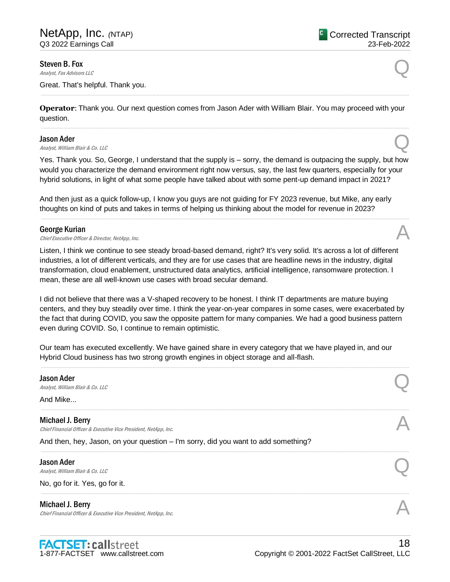Steven B. Fox

Steven B. Fox  $\Omega$ <br>Analyst, Fox Advisors LLC

Great. That's helpful. Thank you.

**Operator**: Thank you. Our next question comes from Jason Ader with William Blair. You may proceed with your question.

.....................................................................................................................................................................................................................................................................

.....................................................................................................................................................................................................................................................................

#### Jason Ader

**Jason Ader**<br>Analyst, William Blair & Co. LLC **Quarter** 

Yes. Thank you. So, George, I understand that the supply is – sorry, the demand is outpacing the supply, but how would you characterize the demand environment right now versus, say, the last few quarters, especially for your hybrid solutions, in light of what some people have talked about with some pent-up demand impact in 2021?

.....................................................................................................................................................................................................................................................................

And then just as a quick follow-up, I know you guys are not guiding for FY 2023 revenue, but Mike, any early thoughts on kind of puts and takes in terms of helping us thinking about the model for revenue in 2023?

#### George Kurian

**George Kurian**<br>Chief Executive Officer & Director, NetApp, Inc.  $\mathcal{A}$ 

Listen, I think we continue to see steady broad-based demand, right? It's very solid. It's across a lot of different industries, a lot of different verticals, and they are for use cases that are headline news in the industry, digital transformation, cloud enablement, unstructured data analytics, artificial intelligence, ransomware protection. I mean, these are all well-known use cases with broad secular demand.

I did not believe that there was a V-shaped recovery to be honest. I think IT departments are mature buying centers, and they buy steadily over time. I think the year-on-year compares in some cases, were exacerbated by the fact that during COVID, you saw the opposite pattern for many companies. We had a good business pattern even during COVID. So, I continue to remain optimistic.

Our team has executed excellently. We have gained share in every category that we have played in, and our Hybrid Cloud business has two strong growth engines in object storage and all-flash.

| <b>Jason Ader</b><br>Analyst, William Blair & Co. LLC                                       |  |
|---------------------------------------------------------------------------------------------|--|
| And Mike                                                                                    |  |
| Michael J. Berry<br>Chief Financial Officer & Executive Vice President, NetApp, Inc.        |  |
| And then, hey, Jason, on your question - I'm sorry, did you want to add something?          |  |
| <b>Jason Ader</b><br>Analyst, William Blair & Co. LLC                                       |  |
| No, go for it. Yes, go for it.                                                              |  |
| <b>Michael J. Berry</b><br>Chief Financial Officer & Executive Vice President, NetApp, Inc. |  |
|                                                                                             |  |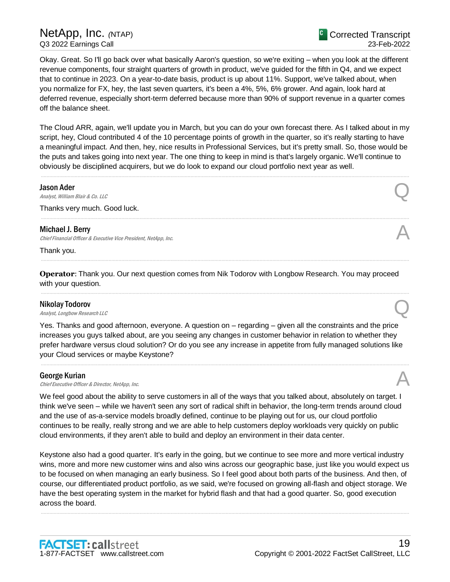<sup>C</sup> Corrected Transcript 23-Feb-2022

Okay. Great. So I'll go back over what basically Aaron's question, so we're exiting – when you look at the different revenue components, four straight quarters of growth in product, we've guided for the fifth in Q4, and we expect that to continue in 2023. On a year-to-date basis, product is up about 11%. Support, we've talked about, when you normalize for FX, hey, the last seven quarters, it's been a 4%, 5%, 6% grower. And again, look hard at deferred revenue, especially short-term deferred because more than 90% of support revenue in a quarter comes off the balance sheet.

The Cloud ARR, again, we'll update you in March, but you can do your own forecast there. As I talked about in my script, hey, Cloud contributed 4 of the 10 percentage points of growth in the quarter, so it's really starting to have a meaningful impact. And then, hey, nice results in Professional Services, but it's pretty small. So, those would be the puts and takes going into next year. The one thing to keep in mind is that's largely organic. We'll continue to obviously be disciplined acquirers, but we do look to expand our cloud portfolio next year as well.

.....................................................................................................................................................................................................................................................................

.....................................................................................................................................................................................................................................................................

.....................................................................................................................................................................................................................................................................

.....................................................................................................................................................................................................................................................................

#### Jason Ader

**Jason Ader**<br>Analyst, William Blair & Co. LLC **Quarter** 

Thanks very much. Good luck.

#### Michael J. Berry

Chief Financial Officer & Executive Vice President, NetApp, Inc.

Thank you.

**Operator**: Thank you. Our next question comes from Nik Todorov with Longbow Research. You may proceed with your question.

#### Nikolay Todorov

**Nikolay Todorov**<br>Analyst, Longbow Research LLC

Yes. Thanks and good afternoon, everyone. A question on – regarding – given all the constraints and the price increases you guys talked about, are you seeing any changes in customer behavior in relation to whether they prefer hardware versus cloud solution? Or do you see any increase in appetite from fully managed solutions like your Cloud services or maybe Keystone?

.....................................................................................................................................................................................................................................................................

#### George Kurian

**George Kurian**<br>Chief Executive Officer & Director, NetApp, Inc.  $\mathcal{A}$ 

We feel good about the ability to serve customers in all of the ways that you talked about, absolutely on target. I think we've seen – while we haven't seen any sort of radical shift in behavior, the long-term trends around cloud and the use of as-a-service models broadly defined, continue to be playing out for us, our cloud portfolio continues to be really, really strong and we are able to help customers deploy workloads very quickly on public cloud environments, if they aren't able to build and deploy an environment in their data center.

Keystone also had a good quarter. It's early in the going, but we continue to see more and more vertical industry wins, more and more new customer wins and also wins across our geographic base, just like you would expect us to be focused on when managing an early business. So I feel good about both parts of the business. And then, of course, our differentiated product portfolio, as we said, we're focused on growing all-flash and object storage. We have the best operating system in the market for hybrid flash and that had a good quarter. So, good execution across the board.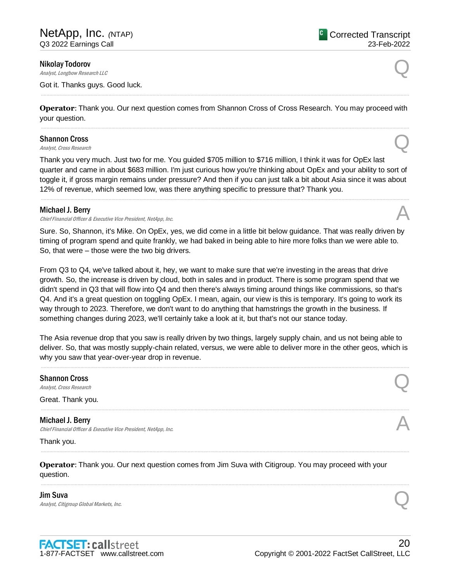#### Nikolay Todorov

**Nikolay Todorov**<br>Analyst, Longbow Research LLC

Got it. Thanks guys. Good luck.

**Operator**: Thank you. Our next question comes from Shannon Cross of Cross Research. You may proceed with your question. .....................................................................................................................................................................................................................................................................

.....................................................................................................................................................................................................................................................................

# Shannon Cross **Shannon Cross**<br>Analyst, Cross Research  $\mathbb{Q}$

Thank you very much. Just two for me. You guided \$705 million to \$716 million, I think it was for OpEx last quarter and came in about \$683 million. I'm just curious how you're thinking about OpEx and your ability to sort of toggle it, if gross margin remains under pressure? And then if you can just talk a bit about Asia since it was about 12% of revenue, which seemed low, was there anything specific to pressure that? Thank you.

.....................................................................................................................................................................................................................................................................

#### Michael J. Berry

Chief Financial Officer & Executive Vice President, NetApp, Inc.

Sure. So, Shannon, it's Mike. On OpEx, yes, we did come in a little bit below guidance. That was really driven by timing of program spend and quite frankly, we had baked in being able to hire more folks than we were able to. So, that were – those were the two big drivers.

From Q3 to Q4, we've talked about it, hey, we want to make sure that we're investing in the areas that drive growth. So, the increase is driven by cloud, both in sales and in product. There is some program spend that we didn't spend in Q3 that will flow into Q4 and then there's always timing around things like commissions, so that's Q4. And it's a great question on toggling OpEx. I mean, again, our view is this is temporary. It's going to work its way through to 2023. Therefore, we don't want to do anything that hamstrings the growth in the business. If something changes during 2023, we'll certainly take a look at it, but that's not our stance today.

The Asia revenue drop that you saw is really driven by two things, largely supply chain, and us not being able to deliver. So, that was mostly supply-chain related, versus, we were able to deliver more in the other geos, which is why you saw that year-over-year drop in revenue.

.....................................................................................................................................................................................................................................................................

.....................................................................................................................................................................................................................................................................

.....................................................................................................................................................................................................................................................................

.....................................................................................................................................................................................................................................................................

Shannon Cross **Shannon Cross**<br>Analyst, Cross Research  $\mathbb{Q}$ 

Great. Thank you.

Michael J. Berry Chief Financial Officer & Executive Vice President, NetApp, Inc.

Thank you.

**Operator**: Thank you. Our next question comes from Jim Suva with Citigroup. You may proceed with your question.

Jim Suva **Jim Suva**<br>Analyst, Citigroup Global Markets, Inc.  $Q$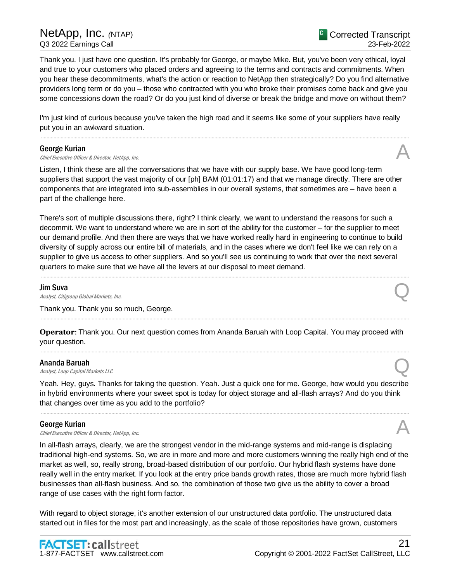Thank you. I just have one question. It's probably for George, or maybe Mike. But, you've been very ethical, loyal and true to your customers who placed orders and agreeing to the terms and contracts and commitments. When you hear these decommitments, what's the action or reaction to NetApp then strategically? Do you find alternative providers long term or do you – those who contracted with you who broke their promises come back and give you some concessions down the road? Or do you just kind of diverse or break the bridge and move on without them?

I'm just kind of curious because you've taken the high road and it seems like some of your suppliers have really put you in an awkward situation.

.....................................................................................................................................................................................................................................................................

#### George Kurian

**George Kurian**<br>Chief Executive Officer & Director, NetApp, Inc.  $\mathcal{A}$ 

Listen, I think these are all the conversations that we have with our supply base. We have good long-term suppliers that support the vast majority of our [ph] BAM (01:01:17) and that we manage directly. There are other components that are integrated into sub-assemblies in our overall systems, that sometimes are – have been a part of the challenge here.

There's sort of multiple discussions there, right? I think clearly, we want to understand the reasons for such a decommit. We want to understand where we are in sort of the ability for the customer – for the supplier to meet our demand profile. And then there are ways that we have worked really hard in engineering to continue to build diversity of supply across our entire bill of materials, and in the cases where we don't feel like we can rely on a supplier to give us access to other suppliers. And so you'll see us continuing to work that over the next several quarters to make sure that we have all the levers at our disposal to meet demand.

.....................................................................................................................................................................................................................................................................

# Jim Suva

**Jim Suva**<br>Analyst, Citigroup Global Markets, Inc.  $Q$ 

Thank you. Thank you so much, George.

**Operator**: Thank you. Our next question comes from Ananda Baruah with Loop Capital. You may proceed with your question.

.....................................................................................................................................................................................................................................................................

.....................................................................................................................................................................................................................................................................

# Ananda Baruah

**Ananda Baruah**<br>Analyst, Loop Capital Markets LLC

Yeah. Hey, guys. Thanks for taking the question. Yeah. Just a quick one for me. George, how would you describe in hybrid environments where your sweet spot is today for object storage and all-flash arrays? And do you think that changes over time as you add to the portfolio?

.....................................................................................................................................................................................................................................................................

# George Kurian

**George Kurian**<br>Chief Executive Officer & Director, NetApp, Inc.  $\mathcal{A}$ 

In all-flash arrays, clearly, we are the strongest vendor in the mid-range systems and mid-range is displacing traditional high-end systems. So, we are in more and more and more customers winning the really high end of the market as well, so, really strong, broad-based distribution of our portfolio. Our hybrid flash systems have done really well in the entry market. If you look at the entry price bands growth rates, those are much more hybrid flash businesses than all-flash business. And so, the combination of those two give us the ability to cover a broad range of use cases with the right form factor.

With regard to object storage, it's another extension of our unstructured data portfolio. The unstructured data started out in files for the most part and increasingly, as the scale of those repositories have grown, customers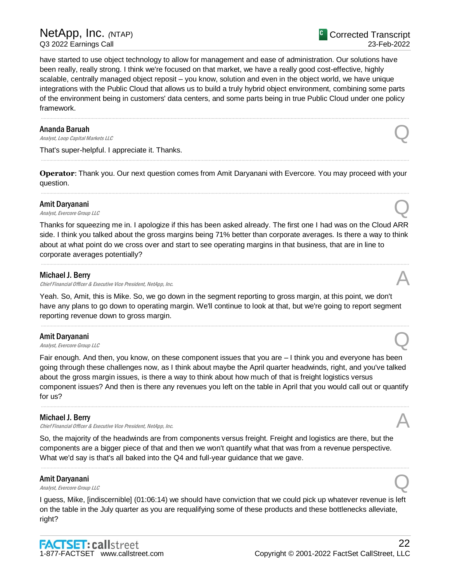have started to use object technology to allow for management and ease of administration. Our solutions have been really, really strong. I think we're focused on that market, we have a really good cost-effective, highly scalable, centrally managed object reposit – you know, solution and even in the object world, we have unique integrations with the Public Cloud that allows us to build a truly hybrid object environment, combining some parts of the environment being in customers' data centers, and some parts being in true Public Cloud under one policy framework.

.....................................................................................................................................................................................................................................................................

# Ananda Baruah

**Ananda Baruah**<br>Analyst, Loop Capital Markets LLC

That's super-helpful. I appreciate it. Thanks.

**Operator**: Thank you. Our next question comes from Amit Daryanani with Evercore. You may proceed with your question. .....................................................................................................................................................................................................................................................................

.....................................................................................................................................................................................................................................................................

# Amit Daryanani

**Amit Daryanani**<br>Analyst, Evercore Group LLC

Thanks for squeezing me in. I apologize if this has been asked already. The first one I had was on the Cloud ARR side. I think you talked about the gross margins being 71% better than corporate averages. Is there a way to think about at what point do we cross over and start to see operating margins in that business, that are in line to corporate averages potentially?

.....................................................................................................................................................................................................................................................................

# Michael J. Berry

Chief Financial Officer & Executive Vice President, NetApp, Inc.

Yeah. So, Amit, this is Mike. So, we go down in the segment reporting to gross margin, at this point, we don't have any plans to go down to operating margin. We'll continue to look at that, but we're going to report segment reporting revenue down to gross margin.

.....................................................................................................................................................................................................................................................................

# Amit Daryanani

Amit Daryanani<br>Analyst, Evercore Group LLC

Fair enough. And then, you know, on these component issues that you are – I think you and everyone has been going through these challenges now, as I think about maybe the April quarter headwinds, right, and you've talked about the gross margin issues, is there a way to think about how much of that is freight logistics versus component issues? And then is there any revenues you left on the table in April that you would call out or quantify for us?

.....................................................................................................................................................................................................................................................................

# Michael J. Berry

Chief Financial Officer & Executive Vice President, NetApp, Inc.

So, the majority of the headwinds are from components versus freight. Freight and logistics are there, but the components are a bigger piece of that and then we won't quantify what that was from a revenue perspective. What we'd say is that's all baked into the Q4 and full-year guidance that we gave.

# Amit Daryanani **Amit Daryanani**<br>Analyst, Evercore Group LLC

I guess, Mike, [indiscernible] (01:06:14) we should have conviction that we could pick up whatever revenue is left on the table in the July quarter as you are requalifying some of these products and these bottlenecks alleviate, right?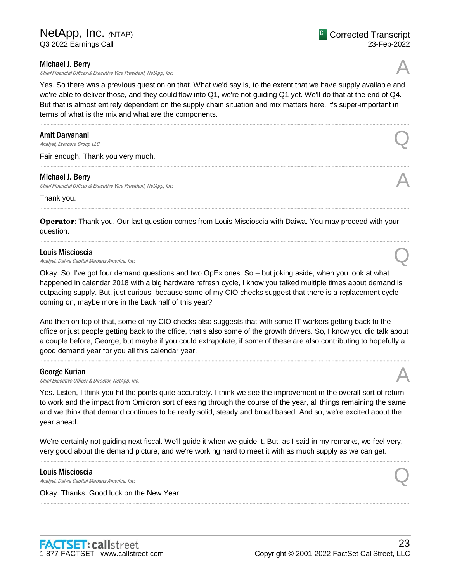#### Michael J. Berry

Chief Financial Officer & Executive Vice President, NetApp, Inc.

Yes. So there was a previous question on that. What we'd say is, to the extent that we have supply available and we're able to deliver those, and they could flow into Q1, we're not guiding Q1 yet. We'll do that at the end of Q4. But that is almost entirely dependent on the supply chain situation and mix matters here, it's super-important in terms of what is the mix and what are the components.

.....................................................................................................................................................................................................................................................................

.....................................................................................................................................................................................................................................................................

.....................................................................................................................................................................................................................................................................

.....................................................................................................................................................................................................................................................................

#### Amit Daryanani

Amit Daryanani<br>Analyst, Evercore Group LLC

Fair enough. Thank you very much.

#### Michael J. Berry

Chief Financial Officer & Executive Vice President, NetApp, Inc.

Thank you.

**Operator**: Thank you. Our last question comes from Louis Miscioscia with Daiwa. You may proceed with your question.

#### Louis Miscioscia

**Louis Miscioscia**<br>Analyst, Daiwa Capital Markets America, Inc.  $Q$ 

Okay. So, I've got four demand questions and two OpEx ones. So – but joking aside, when you look at what happened in calendar 2018 with a big hardware refresh cycle, I know you talked multiple times about demand is outpacing supply. But, just curious, because some of my CIO checks suggest that there is a replacement cycle coming on, maybe more in the back half of this year?

And then on top of that, some of my CIO checks also suggests that with some IT workers getting back to the office or just people getting back to the office, that's also some of the growth drivers. So, I know you did talk about a couple before, George, but maybe if you could extrapolate, if some of these are also contributing to hopefully a good demand year for you all this calendar year.

# George Kurian

**George Kurian**<br>Chief Executive Officer & Director, NetApp, Inc.  $\mathcal{A}$ 

Yes. Listen, I think you hit the points quite accurately. I think we see the improvement in the overall sort of return to work and the impact from Omicron sort of easing through the course of the year, all things remaining the same and we think that demand continues to be really solid, steady and broad based. And so, we're excited about the year ahead.

We're certainly not guiding next fiscal. We'll guide it when we guide it. But, as I said in my remarks, we feel very, very good about the demand picture, and we're working hard to meet it with as much supply as we can get.

.....................................................................................................................................................................................................................................................................

.....................................................................................................................................................................................................................................................................

#### Louis Miscioscia

**Louis Miscioscia**<br>Analyst, Daiwa Capital Markets America, Inc.  $Q$ 

Okay. Thanks. Good luck on the New Year.